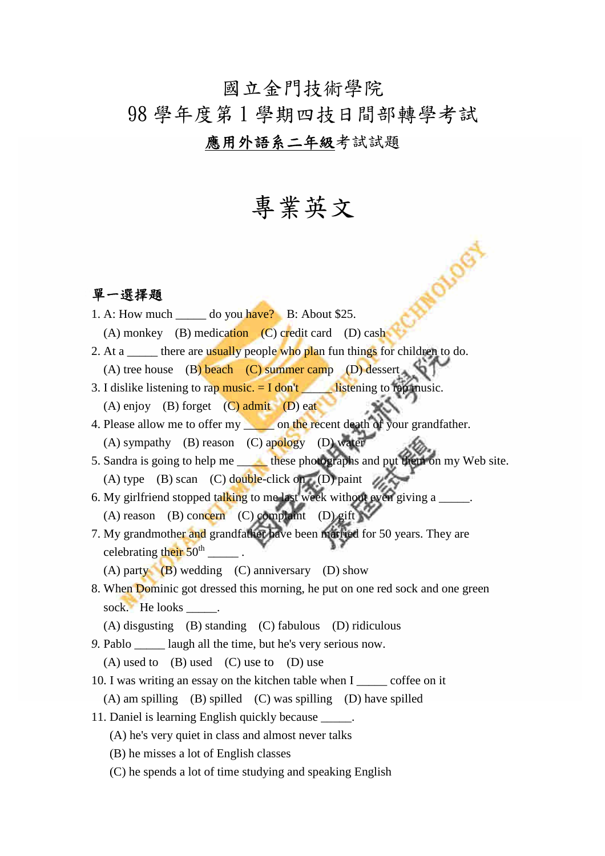#### 國立金門技術學院

## 98 學年度第 1 學期四技日間部轉學考試

### 應用外語系二年級考試試題

# 專業英文

**AMOISOS** 

#### 單一選擇題

- 1. A: How much  $\_\_\_\_\$  do you have? B: About \$25.
	- (A) monkey (B) medication (C) credit card (D) cash
- 2. At a \_\_\_\_\_\_ there are usually people who plan fun things for children to do.
- (A) tree house (B) beach (C) summer camp (D) dessert
- 3. I dislike listening to rap music.  $= I$  don't listening to rap music. (A) enjoy (B) forget  $(C)$  admit  $(D)$  eat
- 4. Please allow me to offer my on the recent death of your grandfather. (A) sympathy (B) reason (C) apology (D) water
- 5. Sandra is going to help me \_\_\_\_\_\_\_ these photographs and put them on my Web site. (A) type (B) scan (C) double-click on (D) paint
- 6. My girlfriend stopped talking to me last week without even giving a \_\_\_\_\_\_\_\_\_\_ (A) reason (B) concern (C) complaint (D) gift
- 7. My grandmother and grandfather have been married for 50 years. They are celebrating their 50<sup>th</sup>  $\overline{\phantom{a}}$  .

(A) party (B) wedding (C) anniversary (D) show

- 8. When Dominic got dressed this morning, he put on one red sock and one green sock. He looks  $\qquad$ .
	- (A) disgusting (B) standing (C) fabulous (D) ridiculous
- *9.* Pablo \_\_\_\_\_ laugh all the time, but he's very serious now.

(A) used to (B) used (C) use to (D) use

10. I was writing an essay on the kitchen table when I \_\_\_\_\_ coffee on it

 $(A)$  am spilling  $(B)$  spilled  $(C)$  was spilling  $(D)$  have spilled

- 11. Daniel is learning English quickly because \_\_\_\_\_.
	- (A) he's very quiet in class and almost never talks
	- (B) he misses a lot of English classes
	- (C) he spends a lot of time studying and speaking English